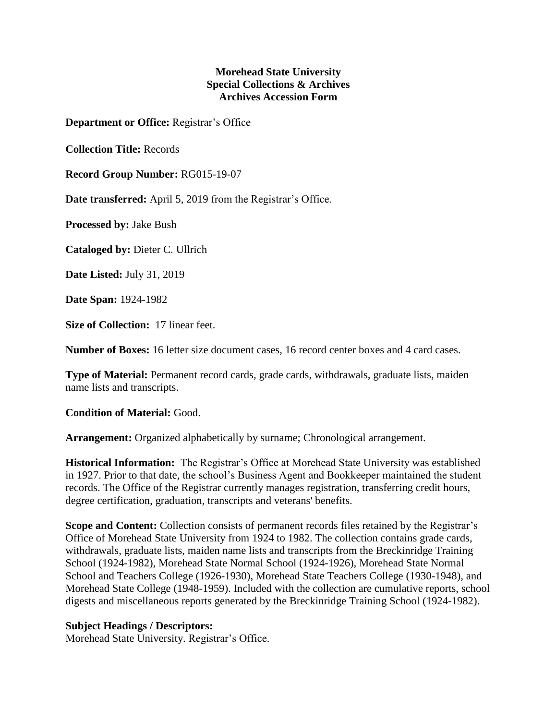## **Morehead State University Special Collections & Archives Archives Accession Form**

**Department or Office:** Registrar's Office

**Collection Title:** Records

**Record Group Number:** RG015-19-07

**Date transferred:** April 5, 2019 from the Registrar's Office.

**Processed by:** Jake Bush

**Cataloged by:** Dieter C. Ullrich

**Date Listed:** July 31, 2019

**Date Span:** 1924-1982

**Size of Collection:** 17 linear feet.

**Number of Boxes:** 16 letter size document cases, 16 record center boxes and 4 card cases.

**Type of Material:** Permanent record cards, grade cards, withdrawals, graduate lists, maiden name lists and transcripts.

## **Condition of Material:** Good.

**Arrangement:** Organized alphabetically by surname; Chronological arrangement.

**Historical Information:** The Registrar's Office at Morehead State University was established in 1927. Prior to that date, the school's Business Agent and Bookkeeper maintained the student records. The Office of the Registrar currently manages registration, transferring credit hours, degree certification, graduation, transcripts and veterans' benefits.

**Scope and Content:** Collection consists of permanent records files retained by the Registrar's Office of Morehead State University from 1924 to 1982. The collection contains grade cards, withdrawals, graduate lists, maiden name lists and transcripts from the Breckinridge Training School (1924-1982), Morehead State Normal School (1924-1926), Morehead State Normal School and Teachers College (1926-1930), Morehead State Teachers College (1930-1948), and Morehead State College (1948-1959). Included with the collection are cumulative reports, school digests and miscellaneous reports generated by the Breckinridge Training School (1924-1982).

## **Subject Headings / Descriptors:**

Morehead State University. Registrar's Office.